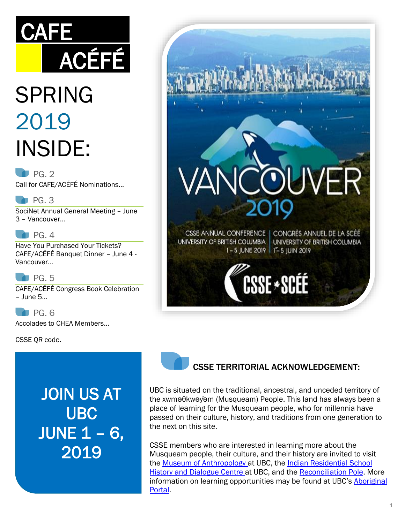# **CAFE** ACÉFÉ

# SPRING 2019 INSIDE:

#### $P$ G. 2

Call for CAFE/ACÉFÉ Nominations…

#### $P$ G. 3

SociNet Annual General Meeting – June 3 – Vancouver…

#### $P$ G. 4

Have You Purchased Your Tickets? CAFE/ACÉFÉ Banquet Dinner – June 4 - Vancouver…

#### $P<sub>G.5</sub>$

CAFE/ACÉFÉ Congress Book Celebration – June 5…

PG. 6

Accolades to CHEA Members…

CSSE QR code.

JOIN US AT UBC JUNE 1 – 6, 2019





#### CSSE TERRITORIAL ACKNOWLEDGEMENT:

UBC is situated on the traditional, ancestral, and unceded territory of the xwməθkwəy̓əm (Musqueam) People. This land has always been a place of learning for the Musqueam people, who for millennia have passed on their culture, history, and traditions from one generation to the next on this site.

CSSE members who are interested in learning more about the Musqueam people, their culture, and their history are invited to visit the [Museum of Anthropology](https://moa.ubc.ca/) at UBC, the [Indian Residential School](https://collections.irshdc.ubc.ca/)  [History and Dialogue Centre](https://collections.irshdc.ubc.ca/) at UBC, and the [Reconciliation Pole.](https://aboriginal.ubc.ca/2017/04/07/reconciliation-pole-installed-at-ubc/) More information on learning opportunities may be found at UBC's [Aboriginal](http://aboriginal.ubc.ca/)  [Portal.](http://aboriginal.ubc.ca/)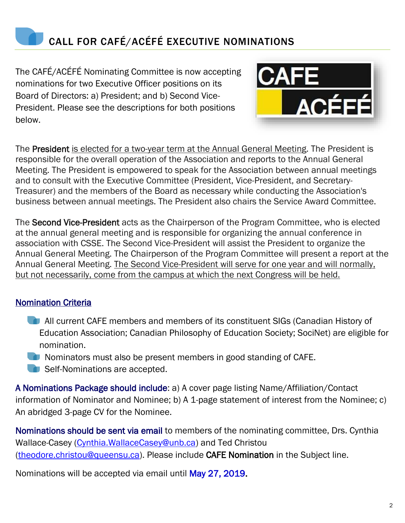

The CAFÉ/ACÉFÉ Nominating Committee is now accepting nominations for two Executive Officer positions on its Board of Directors: a) President; and b) Second Vice-President. Please see the descriptions for both positions below.



The President is elected for a two-year term at the Annual General Meeting. The President is responsible for the overall operation of the Association and reports to the Annual General Meeting. The President is empowered to speak for the Association between annual meetings and to consult with the Executive Committee (President, Vice-President, and Secretary-Treasurer) and the members of the Board as necessary while conducting the Association's business between annual meetings. The President also chairs the Service Award Committee.

The Second Vice-President acts as the Chairperson of the Program Committee, who is elected at the annual general meeting and is responsible for organizing the annual conference in association with CSSE. The Second Vice-President will assist the President to organize the Annual General Meeting. The Chairperson of the Program Committee will present a report at the Annual General Meeting. The Second Vice-President will serve for one year and will normally, but not necessarily, come from the campus at which the next Congress will be held.

#### Nomination Criteria

- **All current CAFE members and members of its constituent SIGs (Canadian History of** Education Association; Canadian Philosophy of Education Society; SociNet) are eligible for nomination.
- **Nominators must also be present members in good standing of CAFE.**
- Self-Nominations are accepted.

A Nominations Package should include: a) A cover page listing Name/Affiliation/Contact information of Nominator and Nominee; b) A 1-page statement of interest from the Nominee; c) An abridged 3-page CV for the Nominee.

Nominations should be sent via email to members of the nominating committee, Drs. Cynthia Wallace-Casey [\(Cynthia.WallaceCasey@unb.ca\)](mailto:Cynthia.WallaceCasey@unb.ca) and Ted Christou [\(theodore.christou@queensu.ca\)](mailto:theodore.christou@queensu.ca). Please include CAFE Nomination in the Subject line.

Nominations will be accepted via email until May 27, 2019.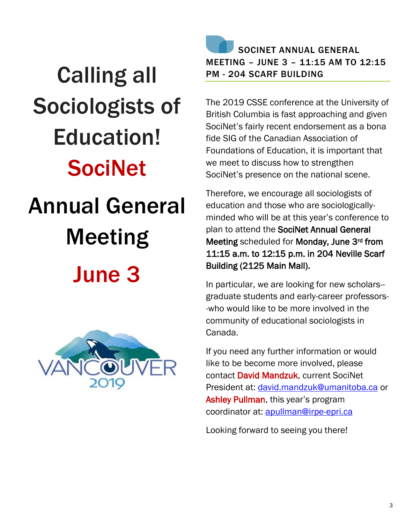# Calling all Sociologists of Education! **SociNet** Annual General Meeting June 3



## SOCINET ANNUAL GENERAL MEETING – JUNE 3 – 11:15 AM TO 12:15 PM - 204 SCARF BUILDING

The 2019 CSSE conference at the University of British Columbia is fast approaching and given SociNet's fairly recent endorsement as a bona fide SIG of the Canadian Association of Foundations of Education, it is important that we meet to discuss how to strengthen SociNet's presence on the national scene.

Therefore, we encourage all sociologists of education and those who are sociologicallyminded who will be at this year's conference to plan to attend the SociNet Annual General Meeting scheduled for Monday, June 3rd from 11:15 a.m. to 12:15 p.m. in 204 Neville Scarf Building (2125 Main Mall).

In particular, we are looking for new scholars- graduate students and early-career professors- -who would like to be more involved in the community of educational sociologists in Canada.

If you need any further information or would like to be become more involved, please contact David Mandzuk, current SociNet President at: [david.mandzuk@umanitoba.ca](mailto:david.mandzuk@umanitoba.ca) or Ashley Pullman, this year's program coordinator at: [apullman@irpe-epri.ca](mailto:apullman@irpe-epri.ca)

Looking forward to seeing you there!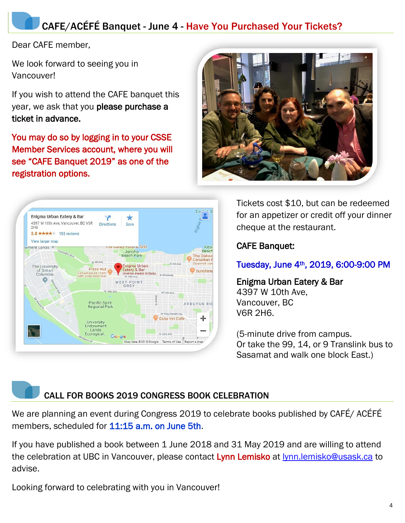## CAFE/ACÉFÉ Banquet - June 4 - Have You Purchased Your Tickets?

Dear CAFE member,

We look forward to seeing you in Vancouver!

If you wish to attend the CAFE banquet this year, we ask that you please purchase a ticket in advance.

You may do so by logging in to your CSSE Member Services account, where you will see "CAFE Banquet 2019" as one of the registration options.





Tickets cost \$10, but can be redeemed for an appetizer or credit off your dinner cheque at the restaurant.

CAFE Banquet:

Tuesday, June 4th, 2019, 6:00-9:00 PM

Enigma Urban Eatery & Bar 4397 W 10th Ave, Vancouver, BC V6R 2H6.

(5-minute drive from campus. Or take the 99, 14, or 9 Translink bus to Sasamat and walk one block East.)

CALL FOR BOOKS 2019 CONGRESS BOOK CELEBRATION

We are planning an event during Congress 2019 to celebrate books published by CAFÉ/ ACÉFÉ members, scheduled for 11:15 a.m. on June 5th.

If you have published a book between 1 June 2018 and 31 May 2019 and are willing to attend the celebration at UBC in Vancouver, please contact Lynn Lemisko at [lynn.lemisko@usask.ca](mailto:lynn.lemisko@usask.ca) to advise.

Looking forward to celebrating with you in Vancouver!